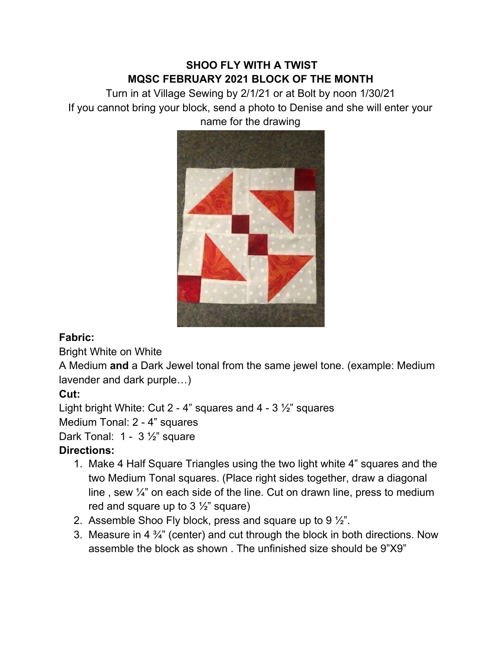## **SHOO FLY WITH A TWIST MQSC FEBRUARY 2021 BLOCK OF THE MONTH**

Turn in at Village Sewing by 2/1/21 or at Bolt by noon 1/30/21 If you cannot bring your block, send a photo to Denise and she will enter your name for the drawing



## **Fabric:**

Bright White on White

A Medium **and** a Dark Jewel tonal from the same jewel tone. (example: Medium lavender and dark purple…)

## **Cut:**

Light bright White: Cut 2 - 4" squares and 4 - 3 ½" squares

Medium Tonal: 2 - 4" squares

Dark Tonal: 1 - 3 1/<sub>2</sub>" square

## **Directions:**

- 1. Make 4 Half Square Triangles using the two light white 4" squares and the two Medium Tonal squares. (Place right sides together, draw a diagonal line, sew  $\frac{1}{4}$  on each side of the line. Cut on drawn line, press to medium red and square up to  $3\frac{1}{2}$ " square)
- 2. Assemble Shoo Fly block, press and square up to 9 ½".
- 3. Measure in 4  $\frac{3}{4}$ " (center) and cut through the block in both directions. Now assemble the block as shown . The unfinished size should be 9"X9"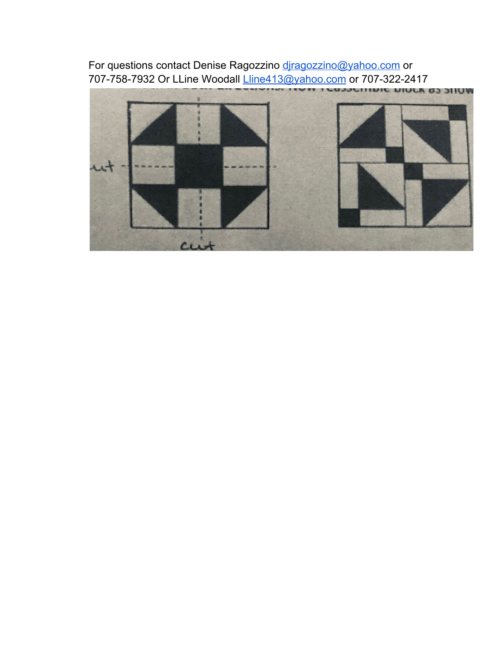For questions contact Denise Ragozzino [djragozzino@yahoo.com](mailto:djragozzino@yahoo.com) or 707-758-7932 Or LLine Woodall [Lline413@yahoo.com](mailto:Lline413@yahoo.com) or 707-322-2417